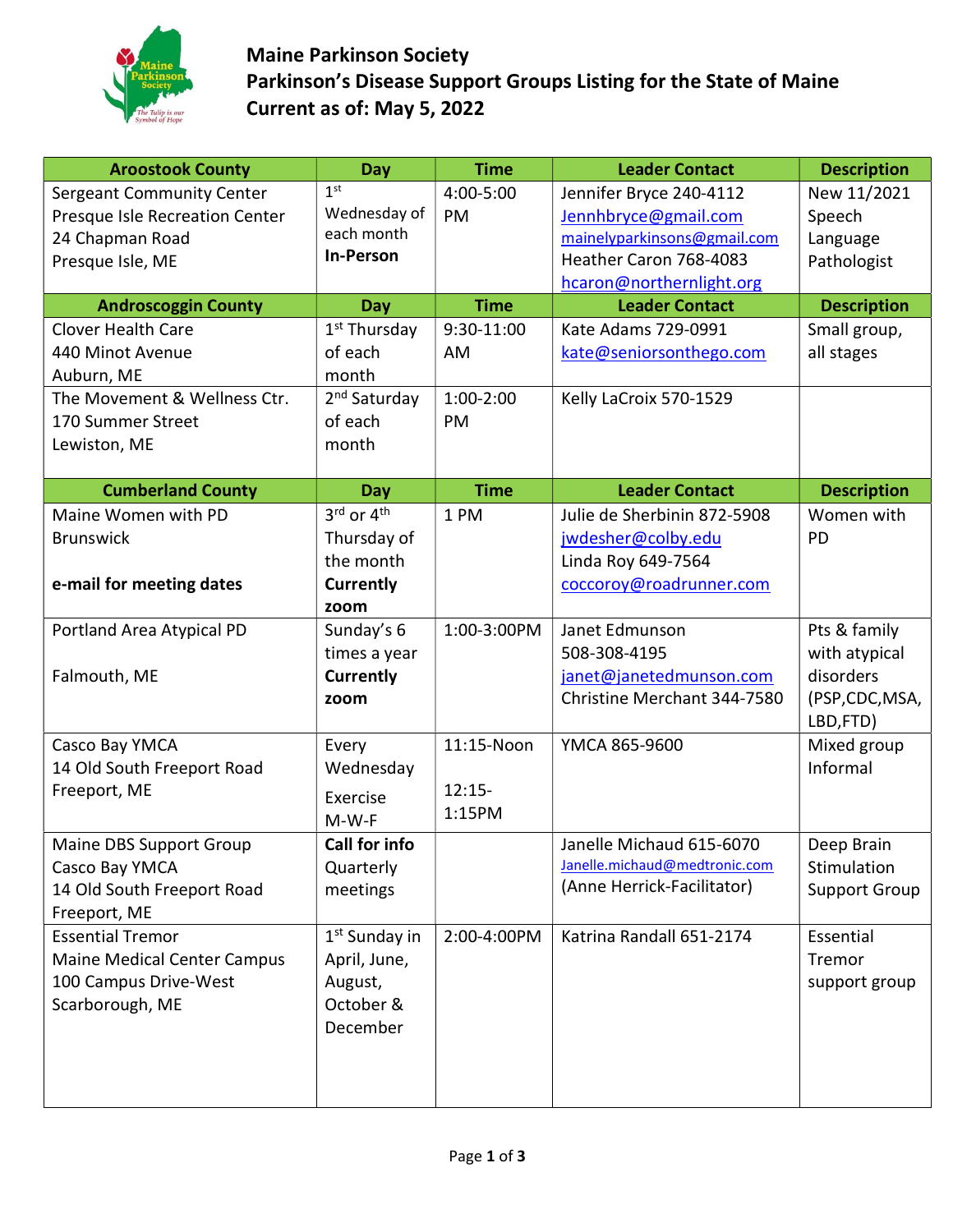

## Maine Parkinson Society Parkinson's Disease Support Groups Listing for the State of Maine Current as of: May 5, 2022

| <b>Aroostook County</b>            | Day                       | <b>Time</b> | <b>Leader Contact</b>         | <b>Description</b>   |
|------------------------------------|---------------------------|-------------|-------------------------------|----------------------|
| Sergeant Community Center          | 1 <sup>st</sup>           | 4:00-5:00   | Jennifer Bryce 240-4112       | New 11/2021          |
| Presque Isle Recreation Center     | Wednesday of              | PM          | Jennhbryce@gmail.com          | Speech               |
| 24 Chapman Road                    | each month                |             | mainelyparkinsons@gmail.com   | Language             |
| Presque Isle, ME                   | <b>In-Person</b>          |             | Heather Caron 768-4083        | Pathologist          |
|                                    |                           |             | hcaron@northernlight.org      |                      |
| <b>Androscoggin County</b>         | Day                       | <b>Time</b> | <b>Leader Contact</b>         | <b>Description</b>   |
| <b>Clover Health Care</b>          | 1 <sup>st</sup> Thursday  | 9:30-11:00  | Kate Adams 729-0991           | Small group,         |
| 440 Minot Avenue                   | of each                   | AM          | kate@seniorsonthego.com       | all stages           |
| Auburn, ME                         | month                     |             |                               |                      |
| The Movement & Wellness Ctr.       | 2 <sup>nd</sup> Saturday  | $1:00-2:00$ | Kelly LaCroix 570-1529        |                      |
| 170 Summer Street                  | of each                   | PM          |                               |                      |
| Lewiston, ME                       | month                     |             |                               |                      |
|                                    |                           |             |                               |                      |
| <b>Cumberland County</b>           | Day                       | <b>Time</b> | <b>Leader Contact</b>         | <b>Description</b>   |
| Maine Women with PD                | 3rd or 4th                | 1 PM        | Julie de Sherbinin 872-5908   | Women with           |
| <b>Brunswick</b>                   | Thursday of               |             | jwdesher@colby.edu            | PD                   |
|                                    | the month                 |             | Linda Roy 649-7564            |                      |
| e-mail for meeting dates           | <b>Currently</b>          |             | coccoroy@roadrunner.com       |                      |
|                                    | zoom                      |             |                               |                      |
| Portland Area Atypical PD          | Sunday's 6                | 1:00-3:00PM | Janet Edmunson                | Pts & family         |
|                                    | times a year              |             | 508-308-4195                  | with atypical        |
| Falmouth, ME                       | <b>Currently</b>          |             | janet@janetedmunson.com       | disorders            |
|                                    | zoom                      |             | Christine Merchant 344-7580   | (PSP,CDC,MSA,        |
|                                    |                           |             |                               | LBD,FTD)             |
| Casco Bay YMCA                     | Every                     | 11:15-Noon  | YMCA 865-9600                 | Mixed group          |
| 14 Old South Freeport Road         | Wednesday                 |             |                               | Informal             |
| Freeport, ME                       | Exercise                  | $12:15-$    |                               |                      |
|                                    | $M-W-F$                   | 1:15PM      |                               |                      |
| <b>Maine DBS Support Group</b>     | Call for info             |             | Janelle Michaud 615-6070      | Deep Brain           |
| Casco Bay YMCA                     | Quarterly                 |             | Janelle.michaud@medtronic.com | Stimulation          |
| 14 Old South Freeport Road         | meetings                  |             | (Anne Herrick-Facilitator)    | <b>Support Group</b> |
| Freeport, ME                       |                           |             |                               |                      |
| <b>Essential Tremor</b>            | 1 <sup>st</sup> Sunday in | 2:00-4:00PM | Katrina Randall 651-2174      | Essential            |
| <b>Maine Medical Center Campus</b> | April, June,              |             |                               | Tremor               |
| 100 Campus Drive-West              | August,                   |             |                               | support group        |
| Scarborough, ME                    | October &                 |             |                               |                      |
|                                    | December                  |             |                               |                      |
|                                    |                           |             |                               |                      |
|                                    |                           |             |                               |                      |
|                                    |                           |             |                               |                      |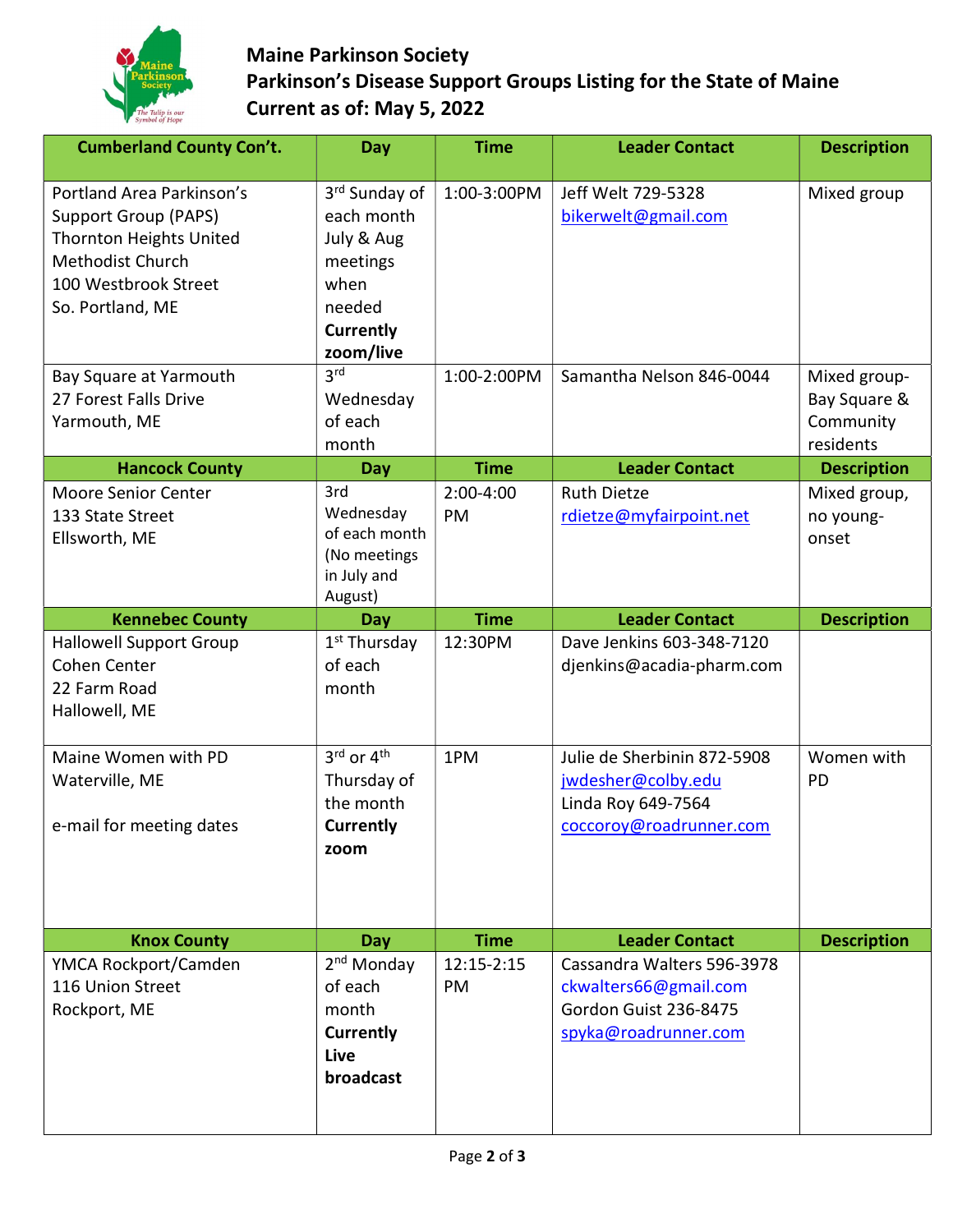

## Maine Parkinson Society Parkinson's Disease Support Groups Listing for the State of Maine Current as of: May 5, 2022

| <b>Cumberland County Con't.</b>                                                                                                                            | Day                                                                                                      | <b>Time</b>       | <b>Leader Contact</b>                                                                                | <b>Description</b>                                     |
|------------------------------------------------------------------------------------------------------------------------------------------------------------|----------------------------------------------------------------------------------------------------------|-------------------|------------------------------------------------------------------------------------------------------|--------------------------------------------------------|
| Portland Area Parkinson's<br><b>Support Group (PAPS)</b><br><b>Thornton Heights United</b><br>Methodist Church<br>100 Westbrook Street<br>So. Portland, ME | 3rd Sunday of<br>each month<br>July & Aug<br>meetings<br>when<br>needed<br><b>Currently</b><br>zoom/live | 1:00-3:00PM       | Jeff Welt 729-5328<br>bikerwelt@gmail.com                                                            | Mixed group                                            |
| Bay Square at Yarmouth<br>27 Forest Falls Drive<br>Yarmouth, ME                                                                                            | 3 <sup>rd</sup><br>Wednesday<br>of each<br>month                                                         | 1:00-2:00PM       | Samantha Nelson 846-0044                                                                             | Mixed group-<br>Bay Square &<br>Community<br>residents |
| <b>Hancock County</b>                                                                                                                                      | Day                                                                                                      | <b>Time</b>       | <b>Leader Contact</b>                                                                                | <b>Description</b>                                     |
| <b>Moore Senior Center</b><br>133 State Street<br>Ellsworth, ME                                                                                            | 3rd<br>Wednesday<br>of each month<br>(No meetings<br>in July and<br>August)                              | $2:00-4:00$<br>PM | <b>Ruth Dietze</b><br>rdietze@myfairpoint.net                                                        | Mixed group,<br>no young-<br>onset                     |
| <b>Kennebec County</b>                                                                                                                                     | Day                                                                                                      | <b>Time</b>       | <b>Leader Contact</b>                                                                                | <b>Description</b>                                     |
| <b>Hallowell Support Group</b><br>Cohen Center<br>22 Farm Road<br>Hallowell, ME                                                                            | 1 <sup>st</sup> Thursday<br>of each<br>month                                                             | 12:30PM           | Dave Jenkins 603-348-7120<br>djenkins@acadia-pharm.com                                               |                                                        |
| Maine Women with PD<br>Waterville, ME<br>e-mail for meeting dates                                                                                          | $3^{\text{rd}}$ or $4^{\text{th}}$<br>Thursday of<br>the month<br><b>Currently</b><br>zoom               | 1PM               | Julie de Sherbinin 872-5908<br>jwdesher@colby.edu<br>Linda Roy 649-7564<br>coccoroy@roadrunner.com   | Women with<br>PD                                       |
| <b>Knox County</b>                                                                                                                                         | Day                                                                                                      | <b>Time</b>       | <b>Leader Contact</b>                                                                                | <b>Description</b>                                     |
| YMCA Rockport/Camden<br>116 Union Street<br>Rockport, ME                                                                                                   | 2 <sup>nd</sup> Monday<br>of each<br>month<br><b>Currently</b><br>Live<br>broadcast                      | 12:15-2:15<br>PM  | Cassandra Walters 596-3978<br>ckwalters66@gmail.com<br>Gordon Guist 236-8475<br>spyka@roadrunner.com |                                                        |